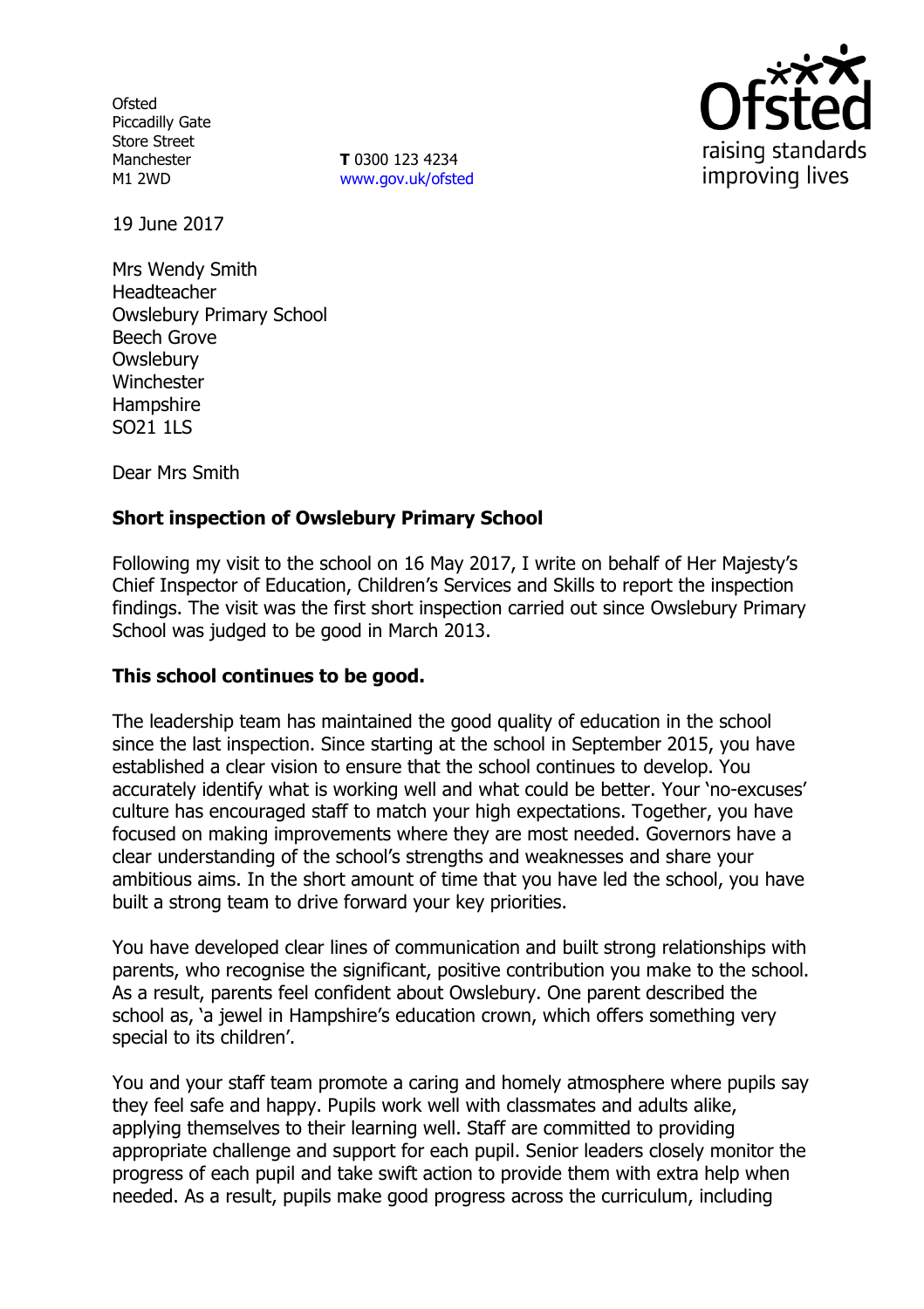**Ofsted** Piccadilly Gate Store Street Manchester M1 2WD

**T** 0300 123 4234 www.gov.uk/ofsted



19 June 2017

Mrs Wendy Smith Headteacher Owslebury Primary School Beech Grove **Owslebury Winchester Hampshire** SO21 1LS

Dear Mrs Smith

#### **Short inspection of Owslebury Primary School**

Following my visit to the school on 16 May 2017, I write on behalf of Her Majesty's Chief Inspector of Education, Children's Services and Skills to report the inspection findings. The visit was the first short inspection carried out since Owslebury Primary School was judged to be good in March 2013.

#### **This school continues to be good.**

The leadership team has maintained the good quality of education in the school since the last inspection. Since starting at the school in September 2015, you have established a clear vision to ensure that the school continues to develop. You accurately identify what is working well and what could be better. Your 'no-excuses' culture has encouraged staff to match your high expectations. Together, you have focused on making improvements where they are most needed. Governors have a clear understanding of the school's strengths and weaknesses and share your ambitious aims. In the short amount of time that you have led the school, you have built a strong team to drive forward your key priorities.

You have developed clear lines of communication and built strong relationships with parents, who recognise the significant, positive contribution you make to the school. As a result, parents feel confident about Owslebury. One parent described the school as, 'a jewel in Hampshire's education crown, which offers something very special to its children'.

You and your staff team promote a caring and homely atmosphere where pupils say they feel safe and happy. Pupils work well with classmates and adults alike, applying themselves to their learning well. Staff are committed to providing appropriate challenge and support for each pupil. Senior leaders closely monitor the progress of each pupil and take swift action to provide them with extra help when needed. As a result, pupils make good progress across the curriculum, including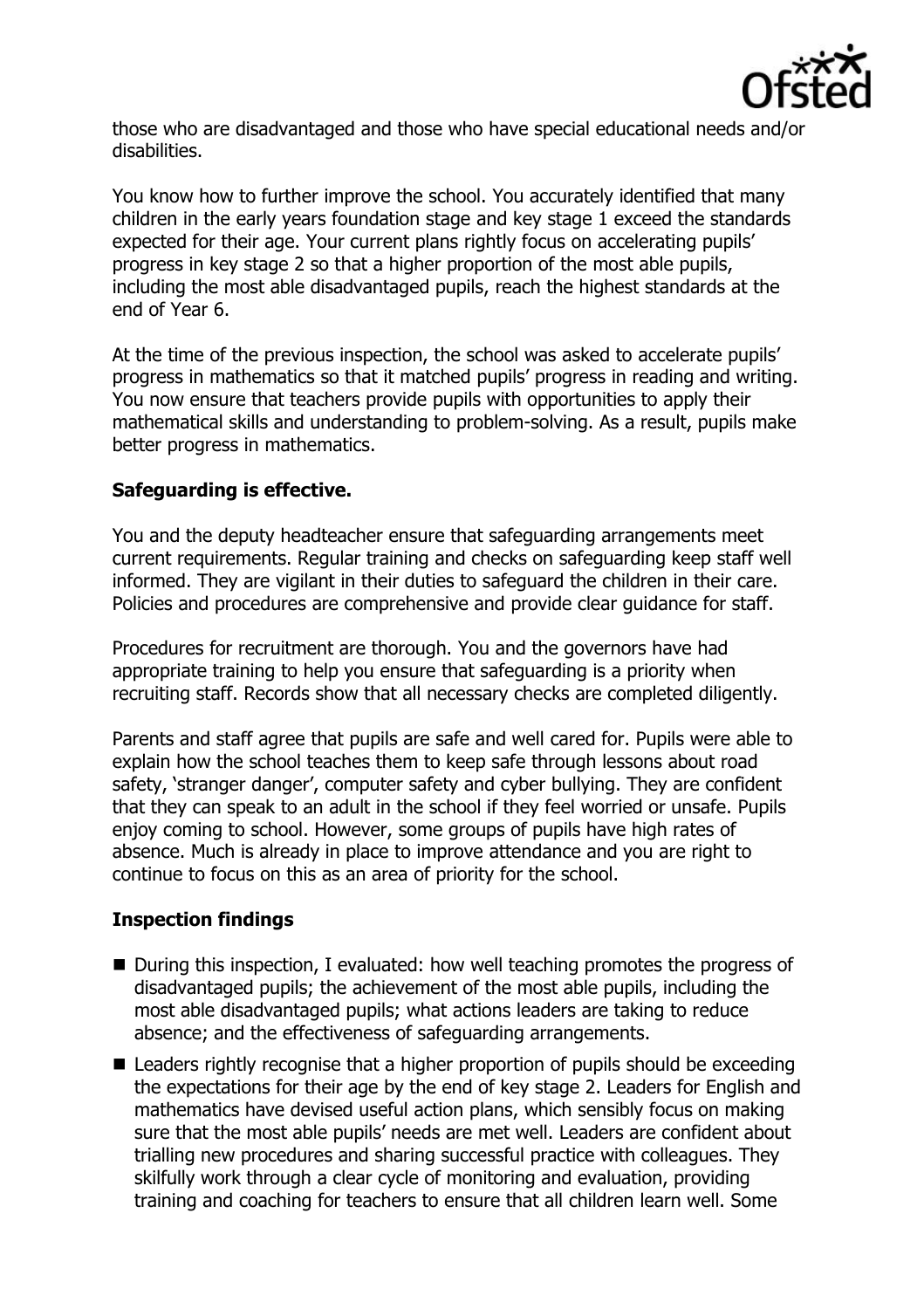

those who are disadvantaged and those who have special educational needs and/or disabilities.

You know how to further improve the school. You accurately identified that many children in the early years foundation stage and key stage 1 exceed the standards expected for their age. Your current plans rightly focus on accelerating pupils' progress in key stage 2 so that a higher proportion of the most able pupils, including the most able disadvantaged pupils, reach the highest standards at the end of Year 6.

At the time of the previous inspection, the school was asked to accelerate pupils' progress in mathematics so that it matched pupils' progress in reading and writing. You now ensure that teachers provide pupils with opportunities to apply their mathematical skills and understanding to problem-solving. As a result, pupils make better progress in mathematics.

# **Safeguarding is effective.**

You and the deputy headteacher ensure that safeguarding arrangements meet current requirements. Regular training and checks on safeguarding keep staff well informed. They are vigilant in their duties to safeguard the children in their care. Policies and procedures are comprehensive and provide clear guidance for staff.

Procedures for recruitment are thorough. You and the governors have had appropriate training to help you ensure that safeguarding is a priority when recruiting staff. Records show that all necessary checks are completed diligently.

Parents and staff agree that pupils are safe and well cared for. Pupils were able to explain how the school teaches them to keep safe through lessons about road safety, 'stranger danger', computer safety and cyber bullying. They are confident that they can speak to an adult in the school if they feel worried or unsafe. Pupils enjoy coming to school. However, some groups of pupils have high rates of absence. Much is already in place to improve attendance and you are right to continue to focus on this as an area of priority for the school.

# **Inspection findings**

- During this inspection, I evaluated: how well teaching promotes the progress of disadvantaged pupils; the achievement of the most able pupils, including the most able disadvantaged pupils; what actions leaders are taking to reduce absence; and the effectiveness of safeguarding arrangements.
- Leaders rightly recognise that a higher proportion of pupils should be exceeding the expectations for their age by the end of key stage 2. Leaders for English and mathematics have devised useful action plans, which sensibly focus on making sure that the most able pupils' needs are met well. Leaders are confident about trialling new procedures and sharing successful practice with colleagues. They skilfully work through a clear cycle of monitoring and evaluation, providing training and coaching for teachers to ensure that all children learn well. Some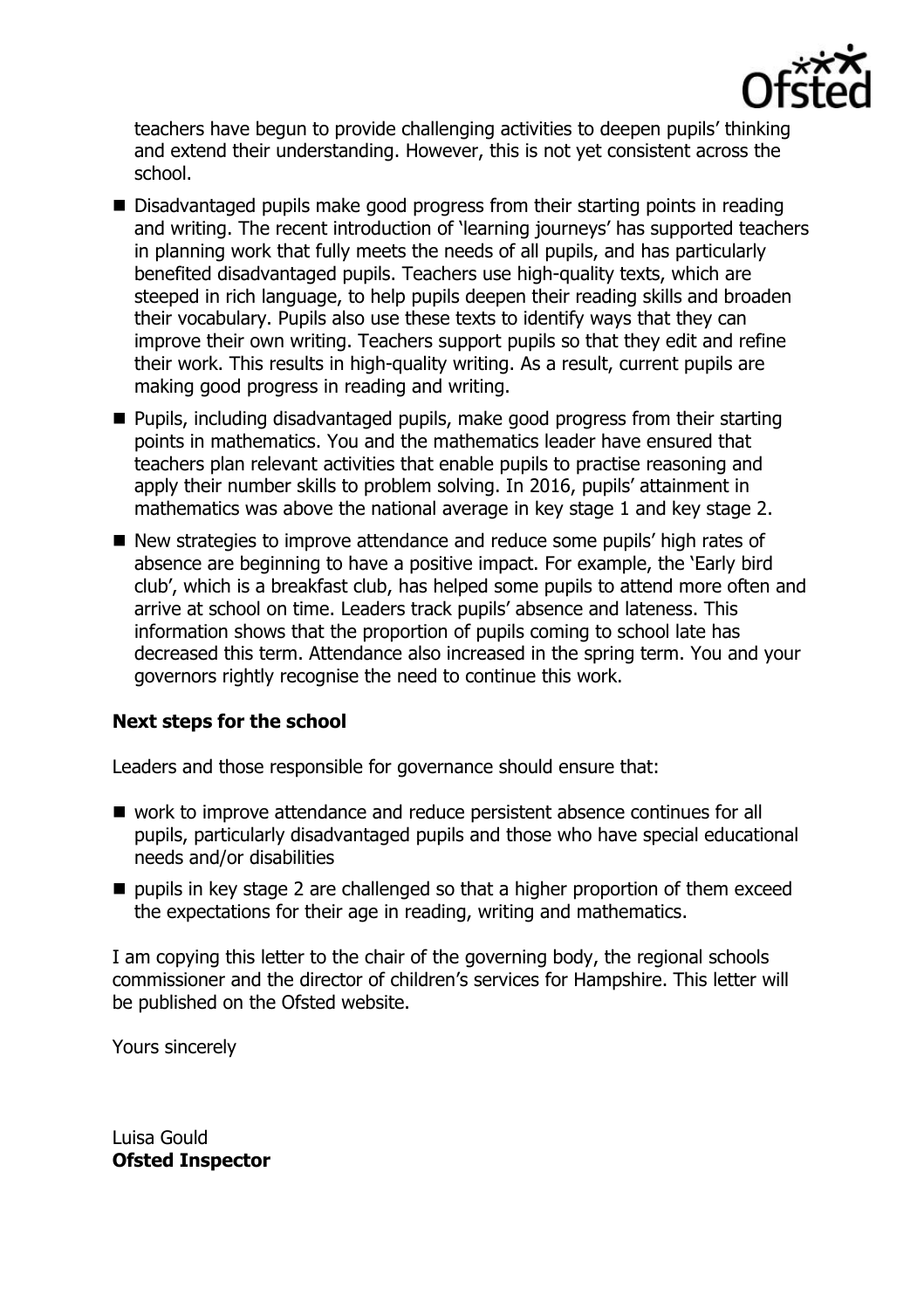

teachers have begun to provide challenging activities to deepen pupils' thinking and extend their understanding. However, this is not yet consistent across the school.

- Disadvantaged pupils make good progress from their starting points in reading and writing. The recent introduction of 'learning journeys' has supported teachers in planning work that fully meets the needs of all pupils, and has particularly benefited disadvantaged pupils. Teachers use high-quality texts, which are steeped in rich language, to help pupils deepen their reading skills and broaden their vocabulary. Pupils also use these texts to identify ways that they can improve their own writing. Teachers support pupils so that they edit and refine their work. This results in high-quality writing. As a result, current pupils are making good progress in reading and writing.
- Pupils, including disadvantaged pupils, make good progress from their starting points in mathematics. You and the mathematics leader have ensured that teachers plan relevant activities that enable pupils to practise reasoning and apply their number skills to problem solving. In 2016, pupils' attainment in mathematics was above the national average in key stage 1 and key stage 2.
- New strategies to improve attendance and reduce some pupils' high rates of absence are beginning to have a positive impact. For example, the 'Early bird club', which is a breakfast club, has helped some pupils to attend more often and arrive at school on time. Leaders track pupils' absence and lateness. This information shows that the proportion of pupils coming to school late has decreased this term. Attendance also increased in the spring term. You and your governors rightly recognise the need to continue this work.

# **Next steps for the school**

Leaders and those responsible for governance should ensure that:

- work to improve attendance and reduce persistent absence continues for all pupils, particularly disadvantaged pupils and those who have special educational needs and/or disabilities
- pupils in key stage 2 are challenged so that a higher proportion of them exceed the expectations for their age in reading, writing and mathematics.

I am copying this letter to the chair of the governing body, the regional schools commissioner and the director of children's services for Hampshire. This letter will be published on the Ofsted website.

Yours sincerely

Luisa Gould **Ofsted Inspector**